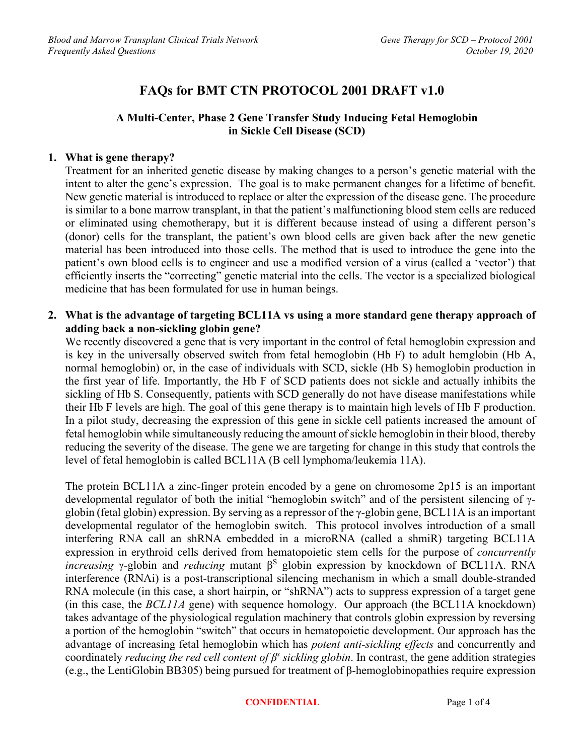# **FAQs for BMT CTN PROTOCOL 2001 DRAFT v1.0**

# **A Multi-Center, Phase 2 Gene Transfer Study Inducing Fetal Hemoglobin in Sickle Cell Disease (SCD)**

#### **1. What is gene therapy?**

Treatment for an inherited genetic disease by making changes to a person's genetic material with the intent to alter the gene's expression. The goal is to make permanent changes for a lifetime of benefit. New genetic material is introduced to replace or alter the expression of the disease gene. The procedure is similar to a bone marrow transplant, in that the patient's malfunctioning blood stem cells are reduced or eliminated using chemotherapy, but it is different because instead of using a different person's (donor) cells for the transplant, the patient's own blood cells are given back after the new genetic material has been introduced into those cells. The method that is used to introduce the gene into the patient's own blood cells is to engineer and use a modified version of a virus (called a 'vector') that efficiently inserts the "correcting" genetic material into the cells. The vector is a specialized biological medicine that has been formulated for use in human beings.

**2. What is the advantage of targeting BCL11A vs using a more standard gene therapy approach of adding back a non-sickling globin gene?**

We recently discovered a gene that is very important in the control of fetal hemoglobin expression and is key in the universally observed switch from fetal hemoglobin (Hb F) to adult hemglobin (Hb A, normal hemoglobin) or, in the case of individuals with SCD, sickle (Hb S) hemoglobin production in the first year of life. Importantly, the Hb F of SCD patients does not sickle and actually inhibits the sickling of Hb S. Consequently, patients with SCD generally do not have disease manifestations while their Hb F levels are high. The goal of this gene therapy is to maintain high levels of Hb F production. In a pilot study, decreasing the expression of this gene in sickle cell patients increased the amount of fetal hemoglobin while simultaneously reducing the amount of sickle hemoglobin in their blood, thereby reducing the severity of the disease. The gene we are targeting for change in this study that controls the level of fetal hemoglobin is called BCL11A (B cell lymphoma/leukemia 11A).

The protein BCL11A a zinc-finger protein encoded by a gene on chromosome 2p15 is an important developmental regulator of both the initial "hemoglobin switch" and of the persistent silencing of γglobin (fetal globin) expression. By serving as a repressor of the γ-globin gene, BCL11A is an important developmental regulator of the hemoglobin switch. This protocol involves introduction of a small interfering RNA call an shRNA embedded in a microRNA (called a shmiR) targeting BCL11A expression in erythroid cells derived from hematopoietic stem cells for the purpose of *concurrently increasing* γ-globin and *reducing* mutant  $\beta^S$  globin expression by knockdown of BCL11A. RNA interference (RNAi) is a post-transcriptional silencing mechanism in which a small double-stranded RNA molecule (in this case, a short hairpin, or "shRNA") acts to suppress expression of a target gene (in this case, the *BCL11A* gene) with sequence homology. Our approach (the BCL11A knockdown) takes advantage of the physiological regulation machinery that controls globin expression by reversing a portion of the hemoglobin "switch" that occurs in hematopoietic development. Our approach has the advantage of increasing fetal hemoglobin which has *potent anti-sickling effects* and concurrently and coordinately *reducing the red cell content of βs sickling globin*. In contrast, the gene addition strategies (e.g., the LentiGlobin BB305) being pursued for treatment of β-hemoglobinopathies require expression

#### **CONFIDENTIAL** Page 1 of 4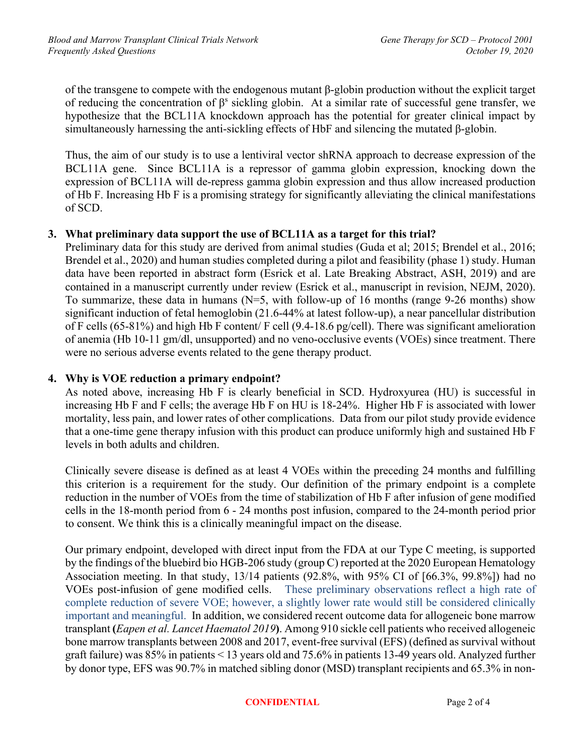of the transgene to compete with the endogenous mutant β-globin production without the explicit target of reducing the concentration of  $\beta$ <sup>s</sup> sickling globin. At a similar rate of successful gene transfer, we hypothesize that the BCL11A knockdown approach has the potential for greater clinical impact by simultaneously harnessing the anti-sickling effects of HbF and silencing the mutated β-globin.

Thus, the aim of our study is to use a lentiviral vector shRNA approach to decrease expression of the BCL11A gene. Since BCL11A is a repressor of gamma globin expression, knocking down the expression of BCL11A will de-repress gamma globin expression and thus allow increased production of Hb F. Increasing Hb F is a promising strategy for significantly alleviating the clinical manifestations of SCD.

### **3. What preliminary data support the use of BCL11A as a target for this trial?**

Preliminary data for this study are derived from animal studies (Guda et al; 2015; Brendel et al., 2016; Brendel et al., 2020) and human studies completed during a pilot and feasibility (phase 1) study. Human data have been reported in abstract form (Esrick et al. Late Breaking Abstract, ASH, 2019) and are contained in a manuscript currently under review (Esrick et al., manuscript in revision, NEJM, 2020). To summarize, these data in humans ( $N=5$ , with follow-up of 16 months (range 9-26 months) show significant induction of fetal hemoglobin (21.6-44% at latest follow-up), a near pancellular distribution of F cells (65-81%) and high Hb F content/ F cell (9.4-18.6 pg/cell). There was significant amelioration of anemia (Hb 10-11 gm/dl, unsupported) and no veno-occlusive events (VOEs) since treatment. There were no serious adverse events related to the gene therapy product.

#### **4. Why is VOE reduction a primary endpoint?**

As noted above, increasing Hb F is clearly beneficial in SCD. Hydroxyurea (HU) is successful in increasing Hb F and F cells; the average Hb F on HU is 18-24%. Higher Hb F is associated with lower mortality, less pain, and lower rates of other complications. Data from our pilot study provide evidence that a one-time gene therapy infusion with this product can produce uniformly high and sustained Hb F levels in both adults and children.

Clinically severe disease is defined as at least 4 VOEs within the preceding 24 months and fulfilling this criterion is a requirement for the study. Our definition of the primary endpoint is a complete reduction in the number of VOEs from the time of stabilization of Hb F after infusion of gene modified cells in the 18-month period from 6 - 24 months post infusion, compared to the 24-month period prior to consent. We think this is a clinically meaningful impact on the disease.

Our primary endpoint, developed with direct input from the FDA at our Type C meeting, is supported by the findings of the bluebird bio HGB-206 study (group C) reported at the 2020 European Hematology Association meeting. In that study, 13/14 patients (92.8%, with 95% CI of [66.3%, 99.8%]) had no VOEs post-infusion of gene modified cells. These preliminary observations reflect a high rate of complete reduction of severe VOE; however, a slightly lower rate would still be considered clinically important and meaningful. In addition, we considered recent outcome data for allogeneic bone marrow transplant **(***Eapen et al. Lancet Haematol 2019***)**. Among 910 sickle cell patients who received allogeneic bone marrow transplants between 2008 and 2017, event-free survival (EFS) (defined as survival without graft failure) was 85% in patients < 13 years old and 75.6% in patients 13-49 years old. Analyzed further by donor type, EFS was 90.7% in matched sibling donor (MSD) transplant recipients and 65.3% in non-

#### **CONFIDENTIAL** Page 2 of 4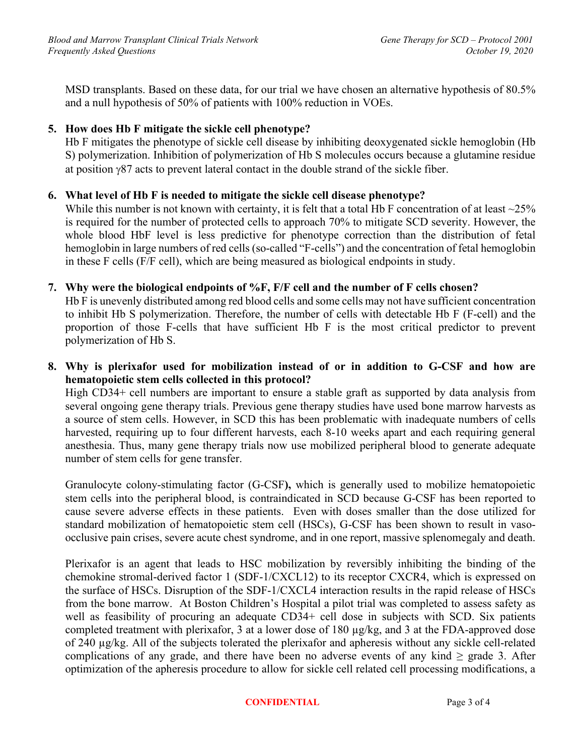MSD transplants. Based on these data, for our trial we have chosen an alternative hypothesis of 80.5% and a null hypothesis of 50% of patients with 100% reduction in VOEs.

# **5. How does Hb F mitigate the sickle cell phenotype?**

Hb F mitigates the phenotype of sickle cell disease by inhibiting deoxygenated sickle hemoglobin (Hb S) polymerization. Inhibition of polymerization of Hb S molecules occurs because a glutamine residue at position  $\frac{987}{2}$  acts to prevent lateral contact in the double strand of the sickle fiber.

### **6. What level of Hb F is needed to mitigate the sickle cell disease phenotype?**

While this number is not known with certainty, it is felt that a total Hb F concentration of at least  $\sim$ 25% is required for the number of protected cells to approach 70% to mitigate SCD severity. However, the whole blood HbF level is less predictive for phenotype correction than the distribution of fetal hemoglobin in large numbers of red cells (so-called "F-cells") and the concentration of fetal hemoglobin in these F cells (F/F cell), which are being measured as biological endpoints in study.

### **7. Why were the biological endpoints of %F, F/F cell and the number of F cells chosen?**

Hb F is unevenly distributed among red blood cells and some cells may not have sufficient concentration to inhibit Hb S polymerization. Therefore, the number of cells with detectable Hb F (F-cell) and the proportion of those F-cells that have sufficient Hb F is the most critical predictor to prevent polymerization of Hb S.

# **8. Why is plerixafor used for mobilization instead of or in addition to G-CSF and how are hematopoietic stem cells collected in this protocol?**

High CD34+ cell numbers are important to ensure a stable graft as supported by data analysis from several ongoing gene therapy trials. Previous gene therapy studies have used bone marrow harvests as a source of stem cells. However, in SCD this has been problematic with inadequate numbers of cells harvested, requiring up to four different harvests, each 8-10 weeks apart and each requiring general anesthesia. Thus, many gene therapy trials now use mobilized peripheral blood to generate adequate number of stem cells for gene transfer.

Granulocyte colony-stimulating factor (G-CSF**),** which is generally used to mobilize hematopoietic stem cells into the peripheral blood, is contraindicated in SCD because G-CSF has been reported to cause severe adverse effects in these patients. Even with doses smaller than the dose utilized for standard mobilization of hematopoietic stem cell (HSCs), G-CSF has been shown to result in vasoocclusive pain crises, severe acute chest syndrome, and in one report, massive splenomegaly and death.

Plerixafor is an agent that leads to HSC mobilization by reversibly inhibiting the binding of the chemokine stromal-derived factor 1 (SDF-1/CXCL12) to its receptor CXCR4, which is expressed on the surface of HSCs. Disruption of the SDF-1/CXCL4 interaction results in the rapid release of HSCs from the bone marrow. At Boston Children's Hospital a pilot trial was completed to assess safety as well as feasibility of procuring an adequate CD34+ cell dose in subjects with SCD. Six patients completed treatment with plerixafor, 3 at a lower dose of 180 µg/kg, and 3 at the FDA-approved dose of 240 µg/kg. All of the subjects tolerated the plerixafor and apheresis without any sickle cell-related complications of any grade, and there have been no adverse events of any kind  $\geq$  grade 3. After optimization of the apheresis procedure to allow for sickle cell related cell processing modifications, a

#### **CONFIDENTIAL** Page 3 of 4